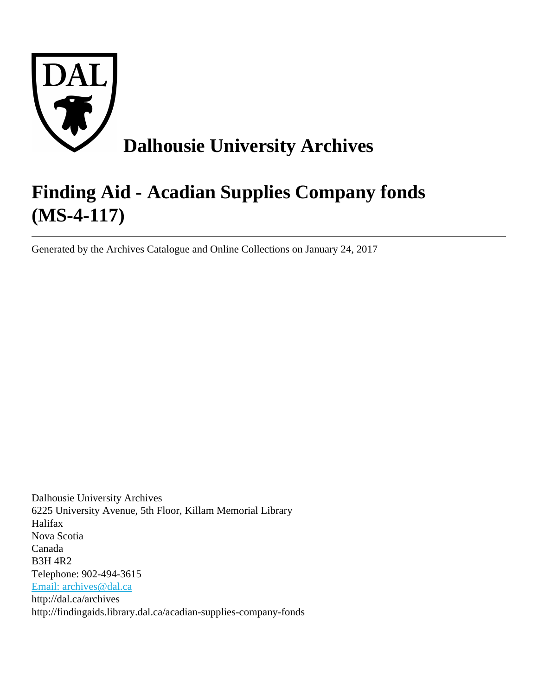

# **Finding Aid - Acadian Supplies Company fonds (MS-4-117)**

Generated by the Archives Catalogue and Online Collections on January 24, 2017

Dalhousie University Archives 6225 University Avenue, 5th Floor, Killam Memorial Library Halifax Nova Scotia Canada B3H 4R2 Telephone: 902-494-3615 [Email: archives@dal.ca](mailto:Email: archives@dal.ca) http://dal.ca/archives http://findingaids.library.dal.ca/acadian-supplies-company-fonds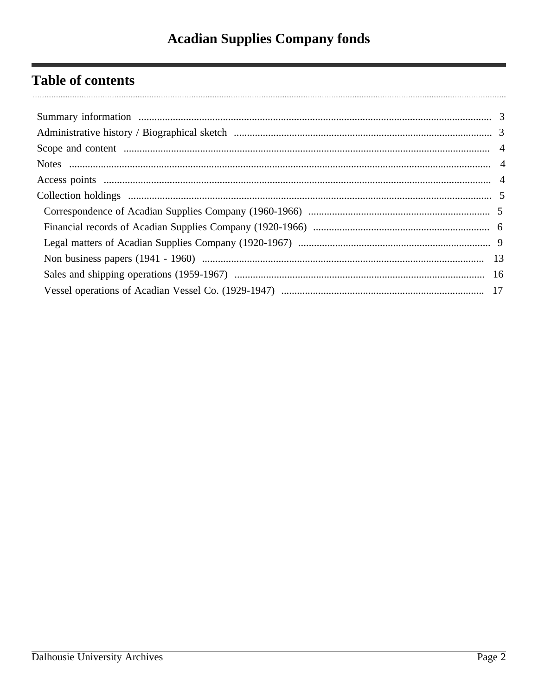# **Table of contents**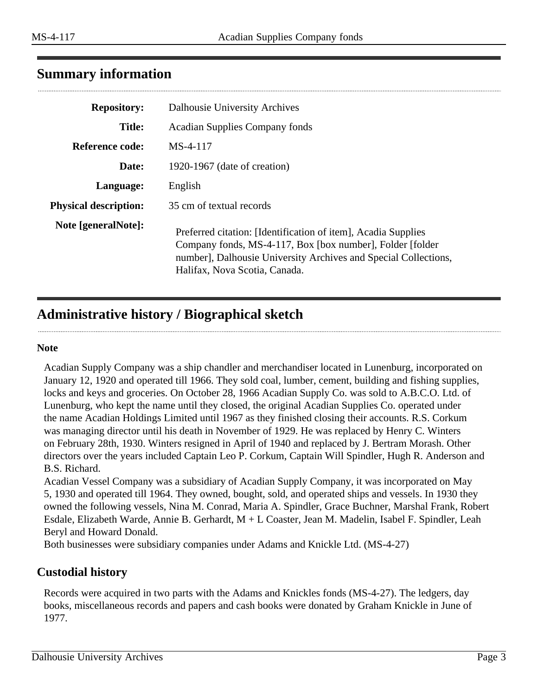# <span id="page-2-0"></span>**Summary information**

| <b>Repository:</b>           | Dalhousie University Archives                                                                                                                                                                                                   |
|------------------------------|---------------------------------------------------------------------------------------------------------------------------------------------------------------------------------------------------------------------------------|
| <b>Title:</b>                | <b>Acadian Supplies Company fonds</b>                                                                                                                                                                                           |
| Reference code:              | $MS-4-117$                                                                                                                                                                                                                      |
| Date:                        | 1920-1967 (date of creation)                                                                                                                                                                                                    |
| Language:                    | English                                                                                                                                                                                                                         |
| <b>Physical description:</b> | 35 cm of textual records                                                                                                                                                                                                        |
| Note [generalNote]:          | Preferred citation: [Identification of item], Acadia Supplies<br>Company fonds, MS-4-117, Box [box number], Folder [folder]<br>number], Dalhousie University Archives and Special Collections,<br>Halifax, Nova Scotia, Canada. |

# <span id="page-2-1"></span>**Administrative history / Biographical sketch**

#### **Note**

Acadian Supply Company was a ship chandler and merchandiser located in Lunenburg, incorporated on January 12, 1920 and operated till 1966. They sold coal, lumber, cement, building and fishing supplies, locks and keys and groceries. On October 28, 1966 Acadian Supply Co. was sold to A.B.C.O. Ltd. of Lunenburg, who kept the name until they closed, the original Acadian Supplies Co. operated under the name Acadian Holdings Limited until 1967 as they finished closing their accounts. R.S. Corkum was managing director until his death in November of 1929. He was replaced by Henry C. Winters on February 28th, 1930. Winters resigned in April of 1940 and replaced by J. Bertram Morash. Other directors over the years included Captain Leo P. Corkum, Captain Will Spindler, Hugh R. Anderson and B.S. Richard.

Acadian Vessel Company was a subsidiary of Acadian Supply Company, it was incorporated on May 5, 1930 and operated till 1964. They owned, bought, sold, and operated ships and vessels. In 1930 they owned the following vessels, Nina M. Conrad, Maria A. Spindler, Grace Buchner, Marshal Frank, Robert Esdale, Elizabeth Warde, Annie B. Gerhardt, M + L Coaster, Jean M. Madelin, Isabel F. Spindler, Leah Beryl and Howard Donald.

Both businesses were subsidiary companies under Adams and Knickle Ltd. (MS-4-27)

#### **Custodial history**

Records were acquired in two parts with the Adams and Knickles fonds (MS-4-27). The ledgers, day books, miscellaneous records and papers and cash books were donated by Graham Knickle in June of 1977.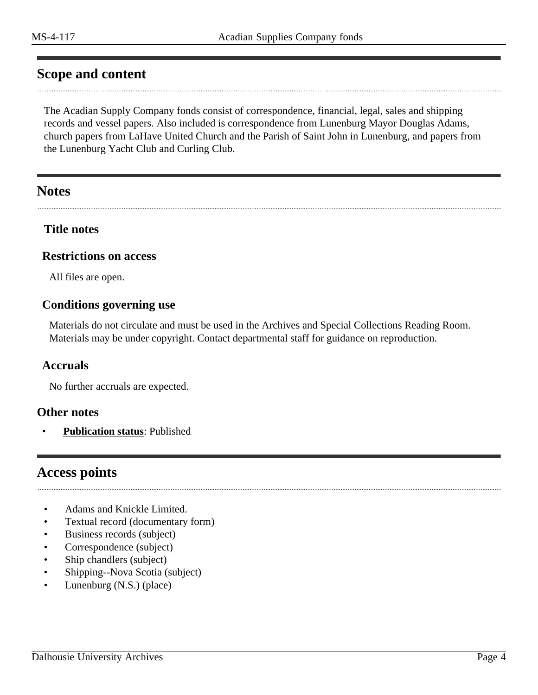### <span id="page-3-0"></span>**Scope and content**

The Acadian Supply Company fonds consist of correspondence, financial, legal, sales and shipping records and vessel papers. Also included is correspondence from Lunenburg Mayor Douglas Adams, church papers from LaHave United Church and the Parish of Saint John in Lunenburg, and papers from the Lunenburg Yacht Club and Curling Club.

### <span id="page-3-1"></span>**Notes**

#### **Title notes**

#### **Restrictions on access**

All files are open.

#### **Conditions governing use**

Materials do not circulate and must be used in the Archives and Special Collections Reading Room. Materials may be under copyright. Contact departmental staff for guidance on reproduction.

#### **Accruals**

No further accruals are expected.

#### **Other notes**

• **Publication status**: Published

### <span id="page-3-2"></span>**Access points**

- Adams and Knickle Limited.
- Textual record (documentary form)
- Business records (subject)
- Correspondence (subject)
- Ship chandlers (subject)
- Shipping--Nova Scotia (subject)
- Lunenburg (N.S.) (place)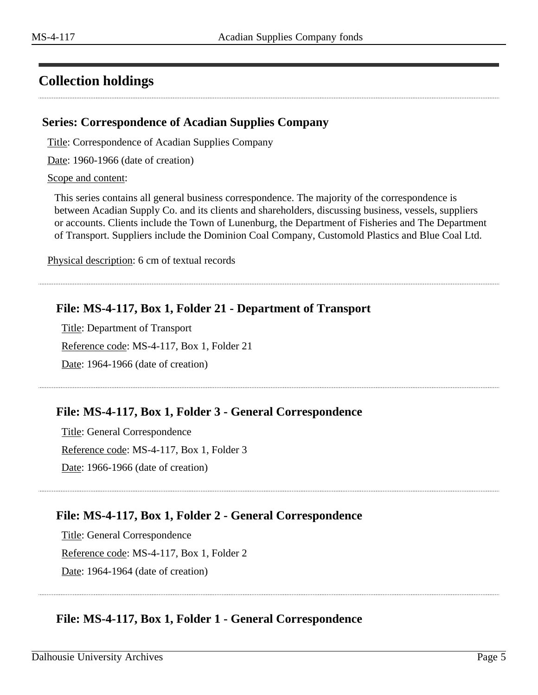# <span id="page-4-0"></span>**Collection holdings**

#### <span id="page-4-1"></span>**Series: Correspondence of Acadian Supplies Company**

Title: Correspondence of Acadian Supplies Company

Date: 1960-1966 (date of creation)

Scope and content:

This series contains all general business correspondence. The majority of the correspondence is between Acadian Supply Co. and its clients and shareholders, discussing business, vessels, suppliers or accounts. Clients include the Town of Lunenburg, the Department of Fisheries and The Department of Transport. Suppliers include the Dominion Coal Company, Customold Plastics and Blue Coal Ltd.

Physical description: 6 cm of textual records

### **File: MS-4-117, Box 1, Folder 21 - Department of Transport**

Title: Department of Transport Reference code: MS-4-117, Box 1, Folder 21 Date: 1964-1966 (date of creation)

#### **File: MS-4-117, Box 1, Folder 3 - General Correspondence**

Title: General Correspondence Reference code: MS-4-117, Box 1, Folder 3 Date: 1966-1966 (date of creation)

### **File: MS-4-117, Box 1, Folder 2 - General Correspondence**

Title: General Correspondence Reference code: MS-4-117, Box 1, Folder 2 Date: 1964-1964 (date of creation)

### **File: MS-4-117, Box 1, Folder 1 - General Correspondence**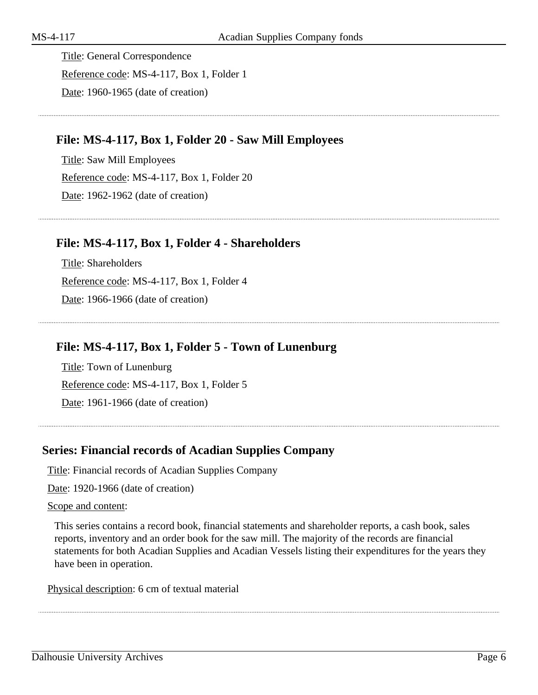Title: General Correspondence Reference code: MS-4-117, Box 1, Folder 1 Date: 1960-1965 (date of creation)

#### **File: MS-4-117, Box 1, Folder 20 - Saw Mill Employees**

Title: Saw Mill Employees Reference code: MS-4-117, Box 1, Folder 20 Date: 1962-1962 (date of creation)

#### **File: MS-4-117, Box 1, Folder 4 - Shareholders**

Title: Shareholders Reference code: MS-4-117, Box 1, Folder 4 Date: 1966-1966 (date of creation)

#### **File: MS-4-117, Box 1, Folder 5 - Town of Lunenburg**

Title: Town of Lunenburg Reference code: MS-4-117, Box 1, Folder 5 Date: 1961-1966 (date of creation)

#### <span id="page-5-0"></span>**Series: Financial records of Acadian Supplies Company**

Title: Financial records of Acadian Supplies Company

Date: 1920-1966 (date of creation)

#### Scope and content:

This series contains a record book, financial statements and shareholder reports, a cash book, sales reports, inventory and an order book for the saw mill. The majority of the records are financial statements for both Acadian Supplies and Acadian Vessels listing their expenditures for the years they have been in operation.

Physical description: 6 cm of textual material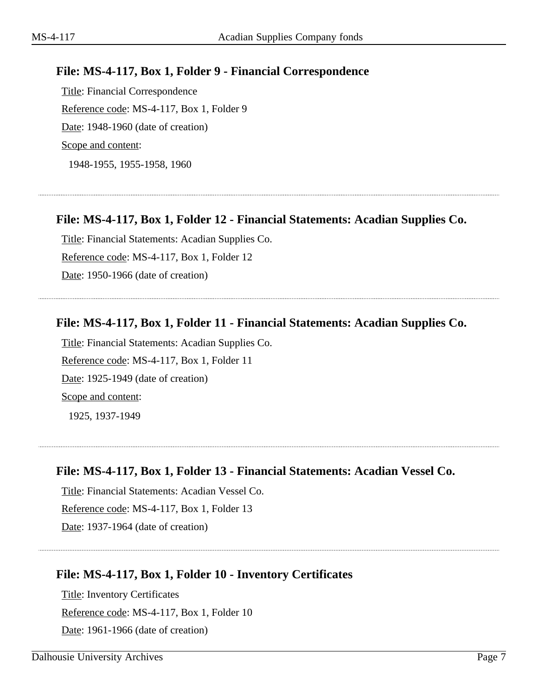### **File: MS-4-117, Box 1, Folder 9 - Financial Correspondence**

Title: Financial Correspondence Reference code: MS-4-117, Box 1, Folder 9 Date: 1948-1960 (date of creation) Scope and content:

1948-1955, 1955-1958, 1960

#### **File: MS-4-117, Box 1, Folder 12 - Financial Statements: Acadian Supplies Co.**

Title: Financial Statements: Acadian Supplies Co. Reference code: MS-4-117, Box 1, Folder 12 Date: 1950-1966 (date of creation)

#### **File: MS-4-117, Box 1, Folder 11 - Financial Statements: Acadian Supplies Co.**

Title: Financial Statements: Acadian Supplies Co. Reference code: MS-4-117, Box 1, Folder 11 Date: 1925-1949 (date of creation) Scope and content: 1925, 1937-1949

**File: MS-4-117, Box 1, Folder 13 - Financial Statements: Acadian Vessel Co.**

Title: Financial Statements: Acadian Vessel Co. Reference code: MS-4-117, Box 1, Folder 13 Date: 1937-1964 (date of creation)

#### **File: MS-4-117, Box 1, Folder 10 - Inventory Certificates**

Title: Inventory Certificates Reference code: MS-4-117, Box 1, Folder 10 Date: 1961-1966 (date of creation)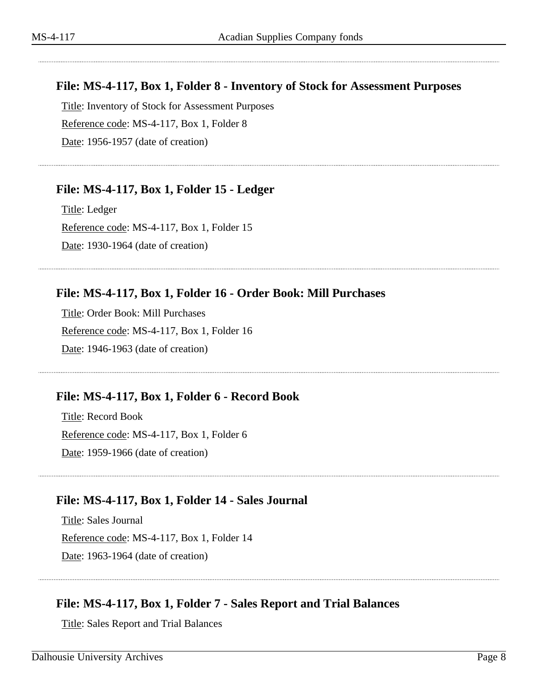### **File: MS-4-117, Box 1, Folder 8 - Inventory of Stock for Assessment Purposes**

Title: Inventory of Stock for Assessment Purposes Reference code: MS-4-117, Box 1, Folder 8 Date: 1956-1957 (date of creation)

### **File: MS-4-117, Box 1, Folder 15 - Ledger**

Title: Ledger Reference code: MS-4-117, Box 1, Folder 15 Date: 1930-1964 (date of creation)

### **File: MS-4-117, Box 1, Folder 16 - Order Book: Mill Purchases**

Title: Order Book: Mill Purchases Reference code: MS-4-117, Box 1, Folder 16 Date: 1946-1963 (date of creation)

#### **File: MS-4-117, Box 1, Folder 6 - Record Book**

Title: Record Book Reference code: MS-4-117, Box 1, Folder 6 Date: 1959-1966 (date of creation)

#### **File: MS-4-117, Box 1, Folder 14 - Sales Journal**

Title: Sales Journal Reference code: MS-4-117, Box 1, Folder 14 Date: 1963-1964 (date of creation)

### **File: MS-4-117, Box 1, Folder 7 - Sales Report and Trial Balances**

Title: Sales Report and Trial Balances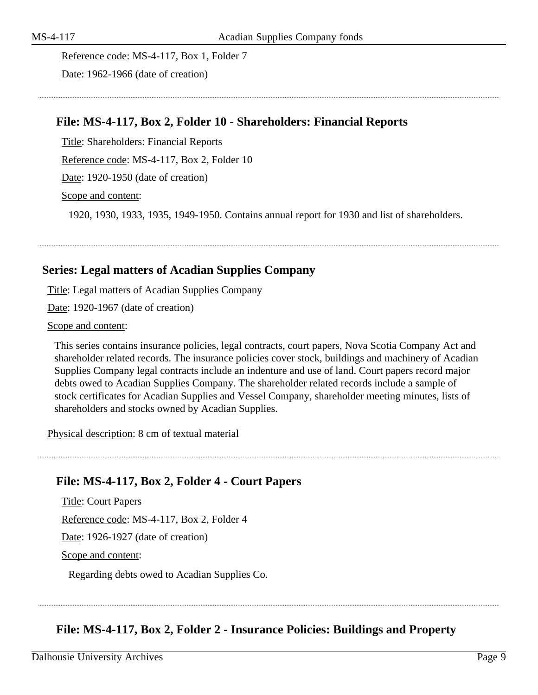Reference code: MS-4-117, Box 1, Folder 7

Date: 1962-1966 (date of creation)

#### **File: MS-4-117, Box 2, Folder 10 - Shareholders: Financial Reports**

Title: Shareholders: Financial Reports

Reference code: MS-4-117, Box 2, Folder 10

Date: 1920-1950 (date of creation)

Scope and content:

1920, 1930, 1933, 1935, 1949-1950. Contains annual report for 1930 and list of shareholders.

#### <span id="page-8-0"></span>**Series: Legal matters of Acadian Supplies Company**

Title: Legal matters of Acadian Supplies Company

Date: 1920-1967 (date of creation)

Scope and content:

This series contains insurance policies, legal contracts, court papers, Nova Scotia Company Act and shareholder related records. The insurance policies cover stock, buildings and machinery of Acadian Supplies Company legal contracts include an indenture and use of land. Court papers record major debts owed to Acadian Supplies Company. The shareholder related records include a sample of stock certificates for Acadian Supplies and Vessel Company, shareholder meeting minutes, lists of shareholders and stocks owned by Acadian Supplies.

Physical description: 8 cm of textual material

#### **File: MS-4-117, Box 2, Folder 4 - Court Papers**

Title: Court Papers Reference code: MS-4-117, Box 2, Folder 4 Date: 1926-1927 (date of creation) Scope and content:

Regarding debts owed to Acadian Supplies Co.

#### **File: MS-4-117, Box 2, Folder 2 - Insurance Policies: Buildings and Property**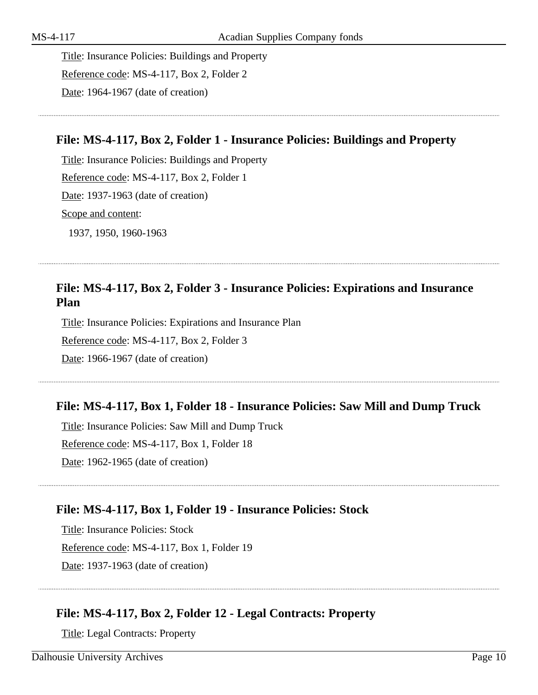Title: Insurance Policies: Buildings and Property Reference code: MS-4-117, Box 2, Folder 2 Date: 1964-1967 (date of creation)

#### **File: MS-4-117, Box 2, Folder 1 - Insurance Policies: Buildings and Property**

Title: Insurance Policies: Buildings and Property Reference code: MS-4-117, Box 2, Folder 1 Date: 1937-1963 (date of creation) Scope and content: 1937, 1950, 1960-1963

#### **File: MS-4-117, Box 2, Folder 3 - Insurance Policies: Expirations and Insurance Plan**

Title: Insurance Policies: Expirations and Insurance Plan Reference code: MS-4-117, Box 2, Folder 3 Date: 1966-1967 (date of creation)

#### **File: MS-4-117, Box 1, Folder 18 - Insurance Policies: Saw Mill and Dump Truck**

Title: Insurance Policies: Saw Mill and Dump Truck Reference code: MS-4-117, Box 1, Folder 18 Date: 1962-1965 (date of creation)

#### **File: MS-4-117, Box 1, Folder 19 - Insurance Policies: Stock**

Title: Insurance Policies: Stock Reference code: MS-4-117, Box 1, Folder 19 Date: 1937-1963 (date of creation)

#### **File: MS-4-117, Box 2, Folder 12 - Legal Contracts: Property**

Title: Legal Contracts: Property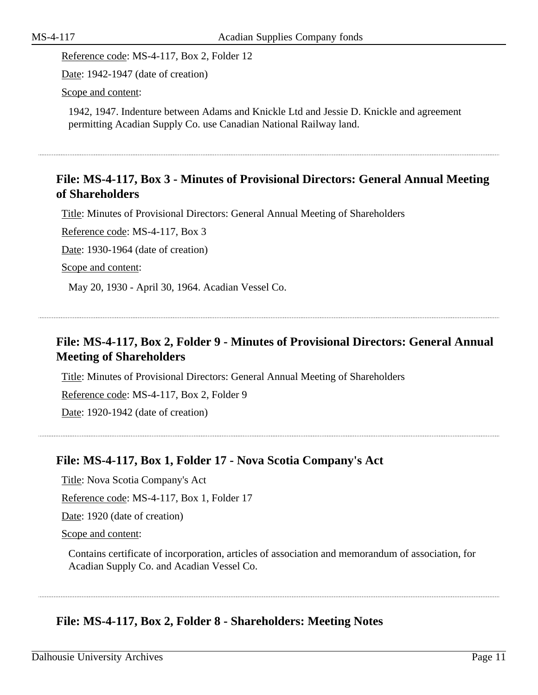Reference code: MS-4-117, Box 2, Folder 12

Date: 1942-1947 (date of creation)

Scope and content:

1942, 1947. Indenture between Adams and Knickle Ltd and Jessie D. Knickle and agreement permitting Acadian Supply Co. use Canadian National Railway land.

### **File: MS-4-117, Box 3 - Minutes of Provisional Directors: General Annual Meeting of Shareholders**

Title: Minutes of Provisional Directors: General Annual Meeting of Shareholders

Reference code: MS-4-117, Box 3

Date: 1930-1964 (date of creation)

Scope and content:

May 20, 1930 - April 30, 1964. Acadian Vessel Co.

### **File: MS-4-117, Box 2, Folder 9 - Minutes of Provisional Directors: General Annual Meeting of Shareholders**

Title: Minutes of Provisional Directors: General Annual Meeting of Shareholders

Reference code: MS-4-117, Box 2, Folder 9

Date: 1920-1942 (date of creation)

### **File: MS-4-117, Box 1, Folder 17 - Nova Scotia Company's Act**

Title: Nova Scotia Company's Act

Reference code: MS-4-117, Box 1, Folder 17

Date: 1920 (date of creation)

Scope and content:

Contains certificate of incorporation, articles of association and memorandum of association, for Acadian Supply Co. and Acadian Vessel Co.

### **File: MS-4-117, Box 2, Folder 8 - Shareholders: Meeting Notes**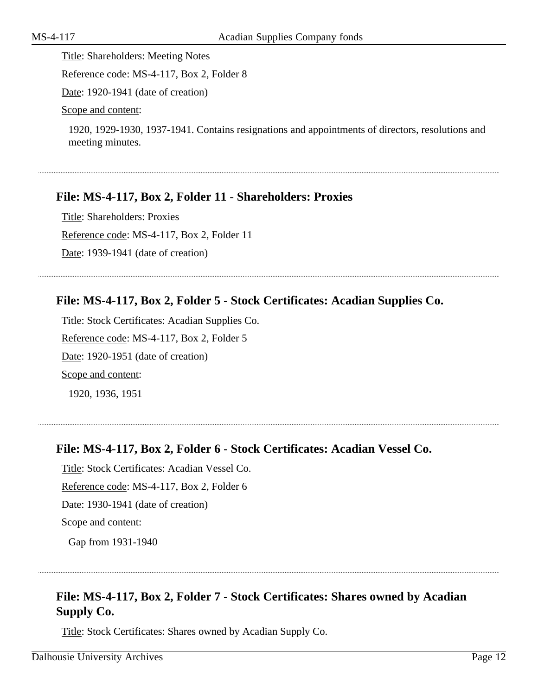Title: Shareholders: Meeting Notes Reference code: MS-4-117, Box 2, Folder 8

Date: 1920-1941 (date of creation)

Scope and content:

1920, 1929-1930, 1937-1941. Contains resignations and appointments of directors, resolutions and meeting minutes.

### **File: MS-4-117, Box 2, Folder 11 - Shareholders: Proxies**

Title: Shareholders: Proxies Reference code: MS-4-117, Box 2, Folder 11 Date: 1939-1941 (date of creation)

### **File: MS-4-117, Box 2, Folder 5 - Stock Certificates: Acadian Supplies Co.**

Title: Stock Certificates: Acadian Supplies Co. Reference code: MS-4-117, Box 2, Folder 5 Date: 1920-1951 (date of creation) Scope and content: 1920, 1936, 1951

#### **File: MS-4-117, Box 2, Folder 6 - Stock Certificates: Acadian Vessel Co.**

Title: Stock Certificates: Acadian Vessel Co. Reference code: MS-4-117, Box 2, Folder 6 Date: 1930-1941 (date of creation) Scope and content:

Gap from 1931-1940

### **File: MS-4-117, Box 2, Folder 7 - Stock Certificates: Shares owned by Acadian Supply Co.**

Title: Stock Certificates: Shares owned by Acadian Supply Co.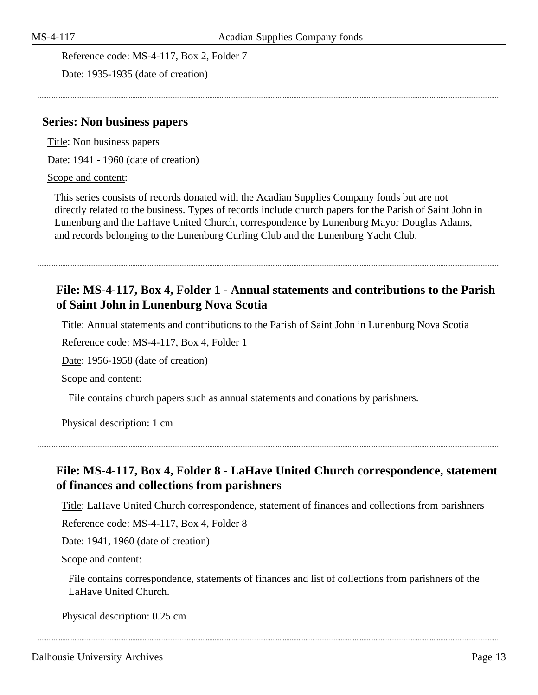Reference code: MS-4-117, Box 2, Folder 7

Date: 1935-1935 (date of creation)

#### <span id="page-12-0"></span>**Series: Non business papers**

Title: Non business papers

Date: 1941 - 1960 (date of creation)

#### Scope and content:

This series consists of records donated with the Acadian Supplies Company fonds but are not directly related to the business. Types of records include church papers for the Parish of Saint John in Lunenburg and the LaHave United Church, correspondence by Lunenburg Mayor Douglas Adams, and records belonging to the Lunenburg Curling Club and the Lunenburg Yacht Club.

### **File: MS-4-117, Box 4, Folder 1 - Annual statements and contributions to the Parish of Saint John in Lunenburg Nova Scotia**

Title: Annual statements and contributions to the Parish of Saint John in Lunenburg Nova Scotia

Reference code: MS-4-117, Box 4, Folder 1

Date: 1956-1958 (date of creation)

Scope and content:

File contains church papers such as annual statements and donations by parishners.

Physical description: 1 cm

### **File: MS-4-117, Box 4, Folder 8 - LaHave United Church correspondence, statement of finances and collections from parishners**

Title: LaHave United Church correspondence, statement of finances and collections from parishners

Reference code: MS-4-117, Box 4, Folder 8

Date: 1941, 1960 (date of creation)

Scope and content:

File contains correspondence, statements of finances and list of collections from parishners of the LaHave United Church.

Physical description: 0.25 cm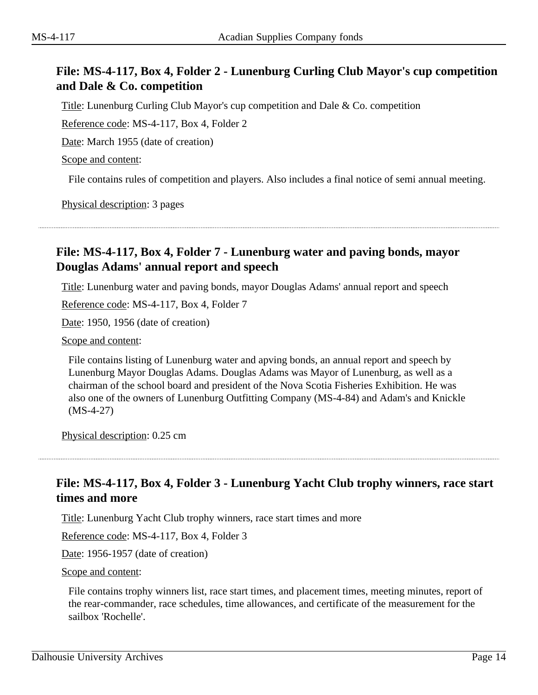### **File: MS-4-117, Box 4, Folder 2 - Lunenburg Curling Club Mayor's cup competition and Dale & Co. competition**

Title: Lunenburg Curling Club Mayor's cup competition and Dale & Co. competition

Reference code: MS-4-117, Box 4, Folder 2

Date: March 1955 (date of creation)

Scope and content:

File contains rules of competition and players. Also includes a final notice of semi annual meeting.

Physical description: 3 pages

### **File: MS-4-117, Box 4, Folder 7 - Lunenburg water and paving bonds, mayor Douglas Adams' annual report and speech**

Title: Lunenburg water and paving bonds, mayor Douglas Adams' annual report and speech

Reference code: MS-4-117, Box 4, Folder 7

Date: 1950, 1956 (date of creation)

Scope and content:

File contains listing of Lunenburg water and apving bonds, an annual report and speech by Lunenburg Mayor Douglas Adams. Douglas Adams was Mayor of Lunenburg, as well as a chairman of the school board and president of the Nova Scotia Fisheries Exhibition. He was also one of the owners of Lunenburg Outfitting Company (MS-4-84) and Adam's and Knickle (MS-4-27)

Physical description: 0.25 cm

### **File: MS-4-117, Box 4, Folder 3 - Lunenburg Yacht Club trophy winners, race start times and more**

Title: Lunenburg Yacht Club trophy winners, race start times and more

Reference code: MS-4-117, Box 4, Folder 3

Date: 1956-1957 (date of creation)

Scope and content:

File contains trophy winners list, race start times, and placement times, meeting minutes, report of the rear-commander, race schedules, time allowances, and certificate of the measurement for the sailbox 'Rochelle'.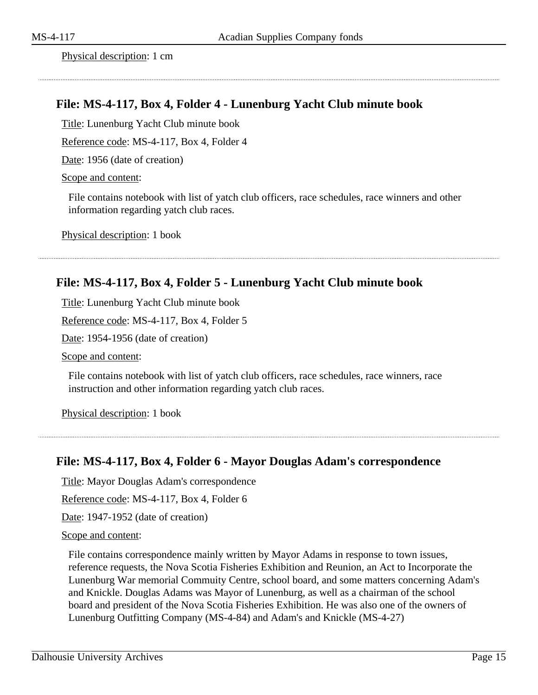Physical description: 1 cm

#### **File: MS-4-117, Box 4, Folder 4 - Lunenburg Yacht Club minute book**

Title: Lunenburg Yacht Club minute book

Reference code: MS-4-117, Box 4, Folder 4

Date: 1956 (date of creation)

Scope and content:

File contains notebook with list of yatch club officers, race schedules, race winners and other information regarding yatch club races.

Physical description: 1 book

#### **File: MS-4-117, Box 4, Folder 5 - Lunenburg Yacht Club minute book**

Title: Lunenburg Yacht Club minute book

Reference code: MS-4-117, Box 4, Folder 5

Date: 1954-1956 (date of creation)

Scope and content:

File contains notebook with list of yatch club officers, race schedules, race winners, race instruction and other information regarding yatch club races.

Physical description: 1 book

#### **File: MS-4-117, Box 4, Folder 6 - Mayor Douglas Adam's correspondence**

Title: Mayor Douglas Adam's correspondence

Reference code: MS-4-117, Box 4, Folder 6

Date: 1947-1952 (date of creation)

#### Scope and content:

File contains correspondence mainly written by Mayor Adams in response to town issues, reference requests, the Nova Scotia Fisheries Exhibition and Reunion, an Act to Incorporate the Lunenburg War memorial Commuity Centre, school board, and some matters concerning Adam's and Knickle. Douglas Adams was Mayor of Lunenburg, as well as a chairman of the school board and president of the Nova Scotia Fisheries Exhibition. He was also one of the owners of Lunenburg Outfitting Company (MS-4-84) and Adam's and Knickle (MS-4-27)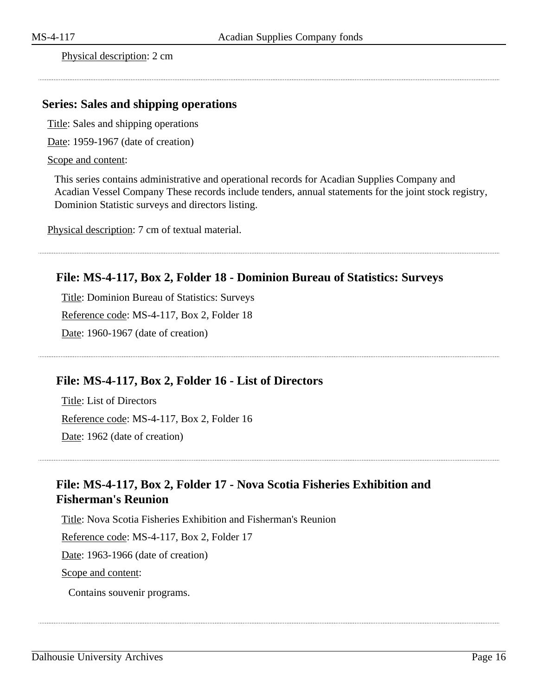Physical description: 2 cm

#### <span id="page-15-0"></span>**Series: Sales and shipping operations**

Title: Sales and shipping operations

Date: 1959-1967 (date of creation)

#### Scope and content:

This series contains administrative and operational records for Acadian Supplies Company and Acadian Vessel Company These records include tenders, annual statements for the joint stock registry, Dominion Statistic surveys and directors listing.

Physical description: 7 cm of textual material.

#### **File: MS-4-117, Box 2, Folder 18 - Dominion Bureau of Statistics: Surveys**

Title: Dominion Bureau of Statistics: Surveys Reference code: MS-4-117, Box 2, Folder 18 Date: 1960-1967 (date of creation)

#### **File: MS-4-117, Box 2, Folder 16 - List of Directors**

Title: List of Directors Reference code: MS-4-117, Box 2, Folder 16 Date: 1962 (date of creation)

### **File: MS-4-117, Box 2, Folder 17 - Nova Scotia Fisheries Exhibition and Fisherman's Reunion**

Title: Nova Scotia Fisheries Exhibition and Fisherman's Reunion

Reference code: MS-4-117, Box 2, Folder 17

Date: 1963-1966 (date of creation)

Scope and content:

Contains souvenir programs.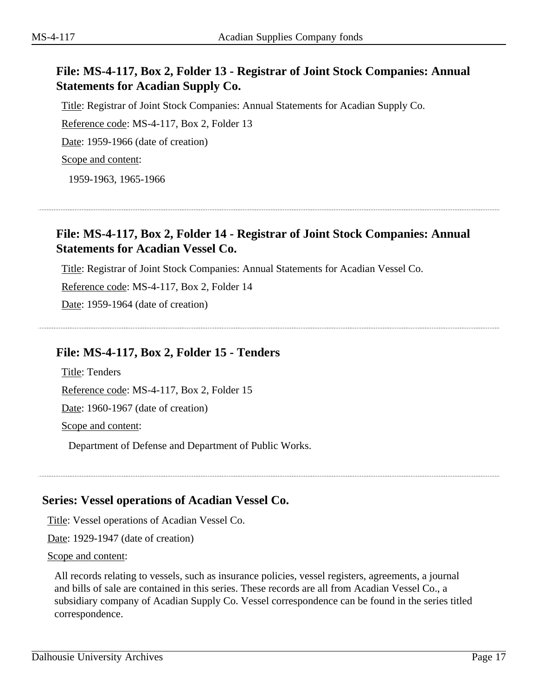### **File: MS-4-117, Box 2, Folder 13 - Registrar of Joint Stock Companies: Annual Statements for Acadian Supply Co.**

Title: Registrar of Joint Stock Companies: Annual Statements for Acadian Supply Co. Reference code: MS-4-117, Box 2, Folder 13 Date: 1959-1966 (date of creation) Scope and content:

1959-1963, 1965-1966

### **File: MS-4-117, Box 2, Folder 14 - Registrar of Joint Stock Companies: Annual Statements for Acadian Vessel Co.**

Title: Registrar of Joint Stock Companies: Annual Statements for Acadian Vessel Co.

Reference code: MS-4-117, Box 2, Folder 14

Date: 1959-1964 (date of creation)

#### **File: MS-4-117, Box 2, Folder 15 - Tenders**

Title: Tenders Reference code: MS-4-117, Box 2, Folder 15 Date: 1960-1967 (date of creation) Scope and content:

Department of Defense and Department of Public Works.

#### <span id="page-16-0"></span>**Series: Vessel operations of Acadian Vessel Co.**

Title: Vessel operations of Acadian Vessel Co.

Date: 1929-1947 (date of creation)

#### Scope and content:

All records relating to vessels, such as insurance policies, vessel registers, agreements, a journal and bills of sale are contained in this series. These records are all from Acadian Vessel Co., a subsidiary company of Acadian Supply Co. Vessel correspondence can be found in the series titled correspondence.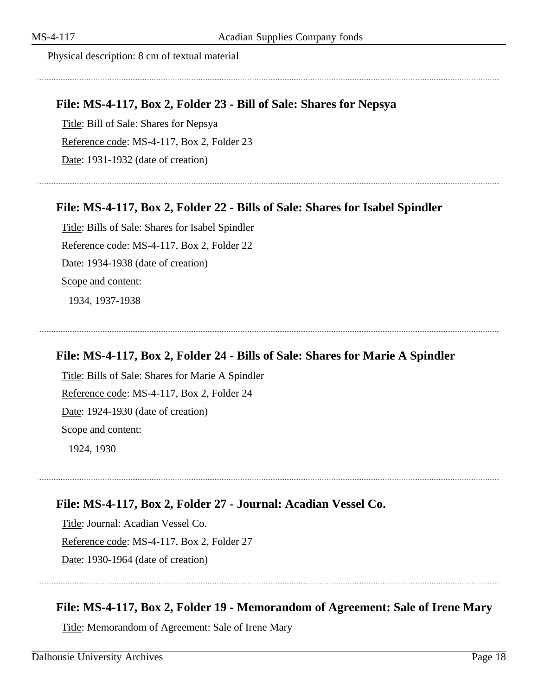Physical description: 8 cm of textual material

#### **File: MS-4-117, Box 2, Folder 23 - Bill of Sale: Shares for Nepsya**

Title: Bill of Sale: Shares for Nepsya Reference code: MS-4-117, Box 2, Folder 23 Date: 1931-1932 (date of creation)

#### **File: MS-4-117, Box 2, Folder 22 - Bills of Sale: Shares for Isabel Spindler**

Title: Bills of Sale: Shares for Isabel Spindler Reference code: MS-4-117, Box 2, Folder 22 Date: 1934-1938 (date of creation) Scope and content: 1934, 1937-1938

#### **File: MS-4-117, Box 2, Folder 24 - Bills of Sale: Shares for Marie A Spindler**

Title: Bills of Sale: Shares for Marie A Spindler Reference code: MS-4-117, Box 2, Folder 24 Date: 1924-1930 (date of creation) Scope and content: 1924, 1930

#### **File: MS-4-117, Box 2, Folder 27 - Journal: Acadian Vessel Co.**

Title: Journal: Acadian Vessel Co. Reference code: MS-4-117, Box 2, Folder 27 Date: 1930-1964 (date of creation)

#### **File: MS-4-117, Box 2, Folder 19 - Memorandom of Agreement: Sale of Irene Mary**

Title: Memorandom of Agreement: Sale of Irene Mary